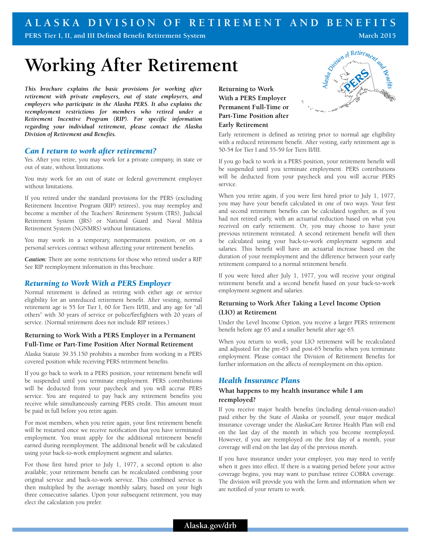# **ALASKA DIVISION OF RETIREMENT AND BENEFITS**

**PERS Tier I, II, and III Defined Benefit Retirement System**

**March 2015**

# **Working After Retirement**

*This brochure explains the basic provisions for working after retirement with private employers, out of state employers, and employers who participate in the Alaska PERS. It also explains the reemployment restrictions for members who retired under a Retirement Incentive Program (RIP). For specific information regarding your individual retirement, please contact the Alaska Division of Retirement and Benefits.*

# *Can I return to work after retirement?*

Yes. After you retire, you may work for a private company, in state or out of state, without limitations.

You may work for an out of state or federal government employer without limitations.

If you retired under the standard provisions for the PERS (excluding Retirement Incentive Program (RIP) retirees), you may reemploy and become a member of the Teachers' Retirement System (TRS), Judicial Retirement System (JRS) or National Guard and Naval Militia Retirement System (NGNMRS) without limitations.

You may work in a temporary, nonpermanent position, or on a personal services contract without affecting your retirement benefits.

*Caution:* There are some restrictions for those who retired under a RIP. See RIP reemployment information in this brochure.

# *Returning to Work With a PERS Employer*

Normal retirement is defined as retiring with either age or service eligibility for an unreduced retirement benefit. After vesting, normal retirement age is 55 for Tier I, 60 for Tiers II/III, and any age for "all others" with 30 years of service or police/firefighters with 20 years of service. (Normal retirement does not include RIP retirees.)

#### **Returning to Work With a PERS Employer in a Permanent Full-Time or Part-Time Position After Normal Retirement**

Alaska Statute 39.35.150 prohibits a member from working in a PERS covered position while receiving PERS retirement benefits.

If you go back to work in a PERS position, your retirement benefit will be suspended until you terminate employment. PERS contributions will be deducted from your paycheck and you will accrue PERS service. You are required to pay back any retirement benefits you receive while simultaneously earning PERS credit. This amount must be paid in full before you retire again.

For most members, when you retire again, your first retirement benefit will be restarted once we receive notification that you have terminated employment. You must apply for the additional retirement benefit earned during reemployment. The additional benefit will be calculated using your back-to-work employment segment and salaries.

For those first hired prior to July 1, 1977, a second option is also available; your retirement benefit can be recalculated combining your original service and back-to-work service. This combined service is then multiplied by the average monthly salary, based on your high three consecutive salaries. Upon your subsequent retirement, you may elect the calculation you prefer.

**Returning to Work With a PERS Employer Permanent Full-Time or Part-Time Position after Early Retirement** 



Early retirement is defined as retiring prior to normal age eligibility with a reduced retirement benefit. After vesting, early retirement age is 50-54 for Tier I and 55-59 for Tiers II/III.

If you go back to work in a PERS position, your retirement benefit will be suspended until you terminate employment. PERS contributions will be deducted from your paycheck and you will accrue PERS service.

When you retire again, if you were first hired prior to July 1, 1977, you may have your benefit calculated in one of two ways. Your first and second retirement benefits can be calculated together, as if you had not retired early, with an actuarial reduction based on what you received on early retirement. Or, you may choose to have your previous retirement reinstated. A second retirement benefit will then be calculated using your back-to-work employment segment and salaries. This benefit will have an actuarial increase based on the duration of your reemployment and the difference between your early retirement compared to a normal retirement benefit.

If you were hired after July 1, 1977, you will receive your original retirement benefit and a second benefit based on your back-to-work employment segment and salaries.

# **Returning to Work After Taking a Level Income Option (LIO) at Retirement**

Under the Level Income Option, you receive a larger PERS retirement benefit before age 65 and a smaller benefit after age 65.

When you return to work, your LIO retirement will be recalculated and adjusted for the pre-65 and post-65 benefits when you terminate employment. Please contact the Division of Retirement Benefits for further information on the affects of reemployment on this option.

# *Health Insurance Plans*

# **What happens to my health insurance while I am reemployed?**

If you receive major health benefits (including dental-vision-audio) paid either by the State of Alaska or yourself, your major medical insurance coverage under the AlaskaCare Retiree Health Plan will end on the last day of the month in which you become reemployed. However, if you are reemployed on the first day of a month, your coverage will end on the last day of the previous month.

If you have insurance under your employer, you may need to verify when it goes into effect. If there is a waiting period before your active coverage begins, you may want to purchase retiree COBRA coverage. The division will provide you with the form and information when we are notified of your return to work.